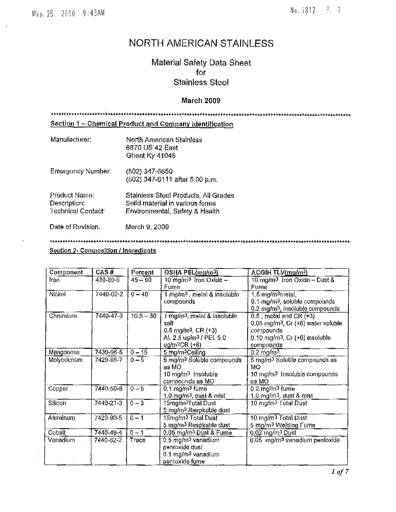# NORTH AMERICAN STAINLESS

# Material Safety Data Sheet for **Stainless Steel**

# **March 2009**

Section 1 - Chemical Product and Company Identification Manufacturer: North American Stainless 6870 US 42 East Ghent Ky 41045 **Emergency Number:** (502) 347-6650 (502) 347-6111 after 5:00 p.m. Product Name: Stainless Steel Products, All Grades Description; Solid material in various forms Technical Contact: Environmental, Safety & Health Date of Revision. March 9, 2009

# Section 2- Composition / Ingredients

| Component  | CAS#           | Percent     | OSHA PEL(mg/m3)                         | ACGIH TLV(mg/m3)                                   |
|------------|----------------|-------------|-----------------------------------------|----------------------------------------------------|
| Iron       | $439 - 89 - 6$ | $45 - 90$   | 10 mg/m <sup>3</sup> fron Oxide $-$     | $10 \text{ mg/m}$ <sup>3</sup> Iron Oxide - Dust & |
|            |                |             | Fume                                    | Fume                                               |
| Nickel     | 7440-02-2      | $0 - 40$    | 1 mg/m <sup>3</sup> , metal & insoluble | $1.5 \,\mathrm{mg/m^3}$ metal,                     |
|            |                |             | compounds                               | 0.1 mg/m <sup>3</sup> , soluble compounds          |
|            |                |             |                                         | 0.2 mg/m <sup>3</sup> , insoluble compounds        |
| Chromium   | 7440-47-3      | $10.5 - 30$ | 1 mg/m <sup>3</sup> , metal & insoluble | $0.5$ , metal and CR $(+3)$                        |
|            |                |             | salt                                    | $0.05$ mg/m <sup>3</sup> , $Cr$ (+6) water soluble |
|            |                |             | $0.5 \text{ mg/m}^3$ , CR (+3)          | compounds                                          |
|            |                |             | AL 2.5 ug/m <sup>3</sup> / PEL 5.0      | $0.10$ mg/m <sup>3</sup> , Cr $(+6)$ insoluble     |
|            |                |             | ug/m <sup>3</sup> CR (+6)               | compounds                                          |
| Manganese  | 7439-96-5      | $0 - 15$    | 5 mg/m <sup>3</sup> Ceiling             | $0.2 \text{ mg/m}^3$                               |
| Molybdenum | 7429-98-7      | $0 - 5$     | 5 mg/m <sup>3</sup> Soluble compounds   | 5 mg/m <sup>3</sup> Soluble compounds as           |
|            |                |             | as MO                                   | МO                                                 |
|            |                |             | 10 mg/m <sup>3</sup> Insoluble          | 10 mg/m <sup>3</sup> Insoluble compounds           |
|            |                |             | compounds as MO                         | as MO                                              |
| Copper     | 7440-50-8      | $0 - 5$     | $0.1 \,\mathrm{mg/m}$ 3 fume            | $0.2$ mg/m <sup>3</sup> fume                       |
|            |                |             | 1.0 mg/m <sup>3</sup> , dust & mist     | 1.0 $mg/m3$ , dust & mist                          |
| Silicon    | 7440-21-3      | $0 - 3$     | 15mg/m <sup>3</sup> Total Dust          | 10 mg/m <sup>3</sup> Total Dust                    |
|            |                |             | 5 mg/m <sup>3</sup> Respirable dust     |                                                    |
| Aluminum   | 7429-90-5      | $0 - 1$     | 15mg/m <sup>3</sup> Total Dust          | 10 mg/m <sup>3</sup> Total Dust                    |
|            |                |             | 5 mg/m <sup>3</sup> Respirable dust     | 5 mg/m <sup>3</sup> Welding Fume                   |
| Coball     | 7440-48-4      | $0 - 1$     | 0.05 mg/m <sup>3</sup> Dust & Fume      | $0.02 \text{ mg/m}^3$ Dust                         |
| Vanadlum   | 7440-62-2      | Trace       | 0.5 mg/m <sup>3</sup> vanadium          | 0.05 mg/m <sup>3</sup> vanadium pentoxide          |
|            |                |             | pentoxide dust                          |                                                    |
|            |                |             | 0.1 mg/m <sup>3</sup> vanadlum          |                                                    |
|            |                |             | pentoxide fume                          |                                                    |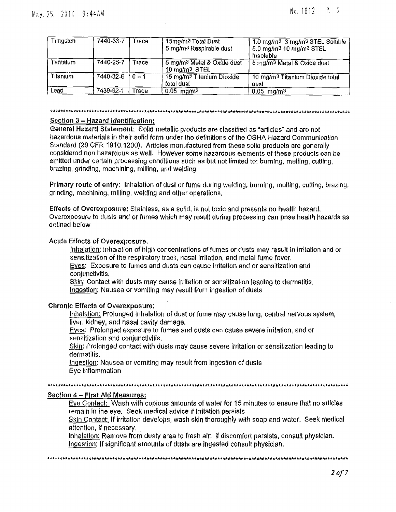| Fungsten.       | 7440-33-7       | Trace   | 15mg/m <sup>3</sup> Total Dust<br>5 mg/m <sup>3</sup> Respirable dust | 1.0 mg/m <sup>3</sup> 3 mg/m <sup>3</sup> STEL Soluble<br>5.0 mg/m <sup>3</sup> 10 mg/m <sup>3</sup> STEL<br>Insoluble |
|-----------------|-----------------|---------|-----------------------------------------------------------------------|------------------------------------------------------------------------------------------------------------------------|
| Tantalum        | 7440-25-7       | Trace   | 5 mg/m <sup>3</sup> Metal & Oxide dust<br>10 mg/m <sup>3</sup> STEL   | 5 mg/m <sup>3</sup> Metal & Oxide dust                                                                                 |
| <b>Titanium</b> | $7440 - 32 - 6$ | $0 - 1$ | 15 mg/m <sup>3</sup> Titanium Dioxide<br>total dust                   | 10 mg/m <sup>3</sup> Titanlum Dioxide total<br>dust                                                                    |
| Lead            | 7439-92-1       | Trace   | $0.05$ mg/m <sup>3</sup>                                              | $0.05$ mg/m <sup>3</sup>                                                                                               |

### **\*A\*A\*14R.11.\*\*\*k\*\*\*\*\*\*\*\*A4Akk\*\*\*\*A\*\*k\*\*x\*\*\*AA4,A\*444\*\*\*A\*\*\*A\*\*\*\*\*\*\*\*\*\*\*\*\*\*\*\*,\*\*A\*\*\*\*\*,,\*\*\*k\*\*,,.,4\*A\*\*\*\*\*17,,kok\*\*\*A,AAA\*\***

# **Section 3 — Hazard Identification:**

**General Hazard** Statement: Solid metallic products are classified as "articles" and are not hazardous materials in their solid form under the definitions of **the** OSHA Hazard Communication Standard (29 CFR 1910.1200), Articles manufactured from these solid products are generally considered non hazardous as well. However some hazardous elements of these products can be emitted under certain processing conditions such as but not limited to: burning, melting, cutting, brazing, grinding, machining, milling, and welding.

**Primary route of** entry; Inhalation of dust or fume during welding, burning, melting, cutting, brazing, grinding, machining, milling, welding and other operations.

Effects of Overexposure: Stainless, as a solid, is not toxic and presents no health hazard. Overexposure to dusts and or fumes which may result during processing can pose health hazards as defined below

#### Acute Effects of Overexposure,

Inhalation: inhalation of high concentrations of fumes or dusts may result in irritation and or sensitization of the respiratory track, nasal irritation, and metal fume fever.

Eves: Exposure to fumes and dusts can cause Irritation and or sensitization and conjunctivitis.

Skin: Contact with dusts may cause irritation or sensitization leading to dermatitis. Ingestion: Nausea or vomiting may result from ingestion of dusts

### **Chronic Effects of Overexposure;**

Inhalation: Prolonged inhalation of dust or fume may cause lung, central nervous system, liver, kidney, and nasal cavity damage.

Eyes: Prolonged exposure to fumes and dusts can cause severe irritation, and or sensitization and conjunctivitis,

Skin: Prolonged contact with dusts may cause severe irritation or sensitization leading to dermatitis.

Ingestion: Nausea or vomiting may result from ingestion of dusts Eye inflammation

**\*\*\*\*\*.AA4k\*Ii\*RE\*AAIAL\*"\*A\*\*AA\*\*k\*\*\*\*Ock\*Akt\*\*\*\*A\*\*fir\*\*\*.thirAlik\*ValUrkt\*\*/t4\*\*Ak\*\*A\*\*\*.x\*A\*\*AA\*\*\*\*\*\*Aki.\*\*\*\*\*\*\*Akirk\*\*4,**

# Section 4 — First Ald Measures:

Eye Contact: Wash with copious amounts of water for 15 minutes to ensure that no articles remain in the eye. Seek medical advice if irritation persists

Skin Contact: If irritation develops, wash skin thoroughly with soap and water. Seek medical attention, if necessary,

Inhalation: Remove from dusty area to fresh air: if discomfort persists, consult physician. Ingestion: if significant amounts of dusts are ingested consult physician.

**44,4,..\*\*%Ak\*\*\*\*\*\*111\*\*A\*0,\*A\*AQA\*Orkt\*\*\*g\*\*\*\*\*\*\*\*\*\*\*\*A\*\*A\*\*\*\*A\*\*AAAA\*\*\*\*\*\*\*\*\*\*\*\*\*\*\*h\*\*\*\*\*\*s\*\*A\*k\*\*\*\*\*\*\*\*Ak\*\*\*hiar\***

2 *of* 7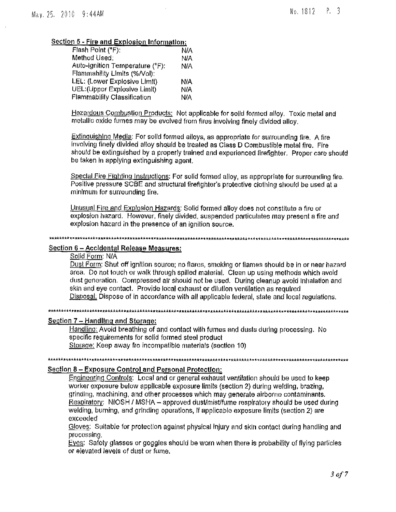# Section 5 - Fire and Explosion Information:

| Flash Point (°F):               | N/A        |
|---------------------------------|------------|
| Method Used.                    | N/A        |
| Auto-ignition Temperature (°F): | <b>N/A</b> |
| Flammability Limits (%/Vol);    |            |
| LEL: (Lower Explosive Limit)    | N/A        |
| UEL:(Upper Explosive Limit)     | N/A        |
| Flammability Classification     | N/A        |
|                                 |            |

**Hazardous Combustion Products:** Not applicable for solid formed alloy. Toxic metal and metallic oxide fumes may he evolved from fires involving finely divided alloy.

**Extinguishing Media:** For solid formed alloys, as appropriate for surrounding fire. A fire involving finely divided alloy should be treated as Class D Combustible metal fire. Fire should be extinguished by a properly trained and experienced firefighter. Proper care should be taken In applying extinguishing agent.

Special Fire Fighting Instructions: For solid formed alloy, as appropriate for surrounding fire. Positive pressure SCBE and structural firefighter's protective clothing should be used at a minimum for surrounding fire.

Unusual Fire and Explosion Hazards: Solid formed alloy does not constitute a fire or explosion hazard. However, finely divided, suspended particulates may present a fire and explosion hazard in the presence of an ignition source.

#### **"\*"4"\*\*\*\*\*\*\*\*\*I,,A11\*\*k\*\*Ak\*ft\*\*\*\*\*\*\*\*\*\*\*\*\*\*\*\*\*\*\*\*ft\*\*\*\*\*\*\*\*\*4\*\*\*\*k\*\*\*Ir\*\*\*444\*\*\*4\*\*\*kk,kt\*..v\*\*\*AA\*\*\*Artpark\*\*A\*\*\*.\*\*\*\***

### Section 6 — Accidental Release Measures:

Solid Form: N/A

Dust Form; Shut off ignition source; no flares, smoking or flames should he in or near hazard area. Do not touch or walk through spilled material. Clean up using methods which avoid dust generation. Compressed air should not be used. During cleanup avoid Inhalation and skin and eye contact. Provide local exhaust or dilution ventilation as required Disposal. Dispose of in accordance with all applicable federal, state and local regulations.

**\*\*\*\*k"",\*\*\*\*\*\*\*\*\*\*\*\*\*\*Ak\*\*\*\*\*\*\*A\*A\*\*\*\*\*\*\*\*\*\*\*\*f.\*\*\*\*\*\*\*\*\*\*\*\*\*\*kkAA4,\*\*ItikAAA\*A\*,x\*AA\*\*A\*.\*\*\*\*\*\*\*\*\*\*\*\*\*\*,k4\*\*A\*,..\*\*\***

# Section **7— Handling**, **and Storage:**

Handling: Avoid breathing of and contact with fumes and dusts during processing. No specific requirements for solid formed steel product Storage: Keep away fro incompatible materials (section 10)

# **kAAAi\*\*\*\*AhAk\*\*\*\*m\*\*A\*\*A\*A\*\*\*\*\*\*\*\*Ak\*.\*\*Ark\*\*\*\*\*\*\*\*\*\*\*\*".\*\*\*\*\*\*\*\*kAt\*\*\*\*AAAAA\*\*.\*4-A,Ak\*Ak\*\*\*\*\*\*\*Ak\*A\*\*\*\*\*\*AkAk\*\*.\*\*\*\* Section 8 — Exposure Control and Personal Protection:**

Engineering Controls: Local and or general exhaust ventilation should be used to keep worker exposure below applicable exposure limits (section 2) during welding, brazing, grinding, machining, and other processes which may generate airborne contaminants. Respiratory: NIOSH / MSHA - approved dust/mist/fume respiratory should be used during welding, burning, and grinding operations, If applicable exposure limits (section 2) are exceeded

Gloves: Suitable for protection against physical injury and skin contact during handling and processing.

Eves: Safety glasses or goggles should he worn when there is probability of flying particles or elevated levels of dust or fume.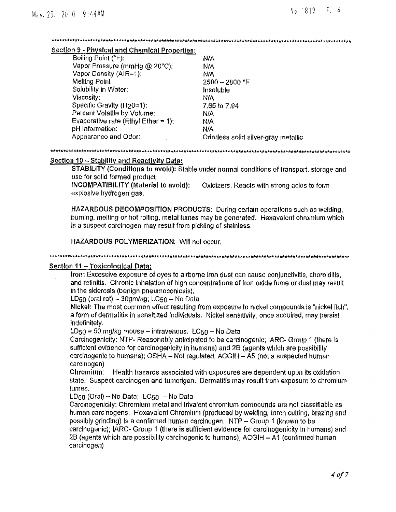#### 

#### Section 9 - Physical and Chemical Properties:

| Boiling Point (°F):                    | N/A                                 |
|----------------------------------------|-------------------------------------|
| Vapor Pressure (mmHg @ 20°C):          | N/A                                 |
| Vapor Density (AIR=1):                 | N/A                                 |
| Melling Point                          | $2500 - 2800$ °F                    |
| Solubility in Water:                   | Insoluble                           |
| Viscosity:                             | ΝIΑ                                 |
| Specific Gravity (H <sub>20</sub> =1): | 7.65 to 7.94                        |
| Percent Volatile by Volume;            | N/A                                 |
| Evaporative rate (Ethyl Ether = 1):    | N/A                                 |
| pH Information:                        | ΝA                                  |
| Appearance and Odor:                   | Odorless solid silver-gray metallic |

### Section 10 - Stability and Reactivity Data:

STABILITY (Conditions to avoid): Stable under normal conditions of transport, storage and use for solid formed product

INCOMPATIBILITY (Material to avoid): Oxidizers. Reacts with strong acids to form explosive hydrogen gas.

HAZARDOUS DECOMPOSITION PRODUCTS: During certain operations such as welding, burning, melting or hot rolling, metal fumes may be generated. Hexavalent chromium which is a suspect carcinogen may result from pickling of stainless.

HAZARDOUS POLYMERIZATION: Will not occur.

# Section 11 - Toxicological Data:

Iron: Excessive exposure of eyes to airborne fron dust can cause conjunctivitis, choroiditis, and retinitis. Chronic Inhalation of high concentrations of Iron oxide fume or dust may result in the siderosis (benign pneumoconlosis),

LD<sub>50</sub> (oral rat)  $\sim$  30gm/kg; LC<sub>50</sub> - No Data

Nickel: The most common effect resulting from exposure to nickel compounds is "nickel itch". a form of dermatitis in sensitized individuals. Nickel sensitivity, once acquired, may persist indefinitely.

LD<sub>50</sub> = 50 mg/kg mouse - intravenous, LC<sub>50</sub> - No Data

Carcinogenicity: NTP-Reasonably anticipated to be carcinogenic: IARC- Group 1 (there is sufficient evidence for carcinogenicity in humans) and 2B (agents which are possibility carcinogenic to humans); OSHA - Not regulated; ACGIH - A5 (not a suspected human carcinogen)

Chromium: Health hazards associated with exposures are dependent upon its oxidation state. Suspect carcinogen and tumorigen. Dermalitis may result from exposure to chromium fumes.

# LD<sub>50</sub> (Oral) - No Data: LC<sub>50</sub> - No Data

Carcinogenicity: Chromium metal and trivalent chromium compounds are not classifiable as human carcinogens. Hexavalent Chromium (produced by welding, torch culting, brazing and possibly grinding) is a confirmed human carcinogen. NTP - Group 1 (known to be carcinogenic); IARC- Group 1 (there is sufficient evidence for carcinogenicity in humans) and 2B (agents which are possibility carcinogenic to humans); ACGIH - A1 (confirmed human carcinogen)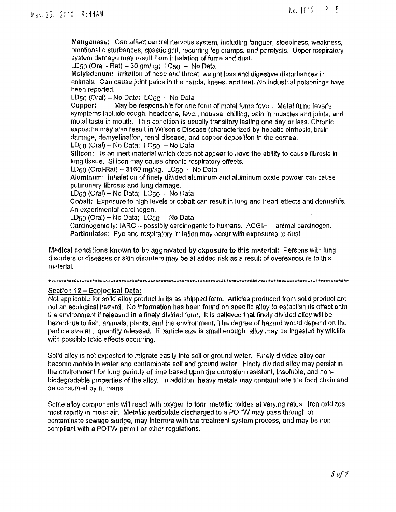Manganese; Can affect central nervous system, including languor, sleepiness, weakness, emotional disturbances, spastic gait, recurring leg cramps, and paralysis, Upper respiratory system damage may result from inhalation of fume and dust.

 $LD_{50}$  (Oral - Rat)  $-30$  gm/kg;  $LC_{50}$  - No Data

Molybdenum: irritation of nose and throat, weight loss and digestive disturbances in animals. Can cause joint pains in the hands, knees, and feet. No industrial poisonings have been reported.

 $LD50$  (Oral) – No Data;  $LC50 - No$  Data

Copper: May he responsible for one form of metal fume fever. Metal fume fever's symptoms Include cough, headache, fever, nausea, chilling, pain in muscles and joints, and metal taste in mouth. This condition is usually transitory lasting one clay or less. Chronic exposure may also result in Wilson's Disease (characterized by hepatic cirrhosis, brain damage, demyelination, renal disease, and copper deposition in the cornea.

LD50 (Oral) — No Data; LC50 — No Data

Silicon: Is an inert material which does not appear to have the ability to cause fibrosis in lung tissue. Silicon may cause chronic respiratory effects.

LD50 (Oral-Rat)  $-3160$  mg/kg; LC50  $-$  No Data

Aluminum: Inhalation of finely divided aluminum and aluminum oxide powder can cause pulmonary fibrosis and lung damage.

LD $50$  (Oral) – No Data; LC $50 -$ No Data

Cobalt: Exposure to high levels of cobalt can result in lung and heart effects and dermatitis. An experimental carcinogen.

 $LD_{50}$  (Oral) – No Data;  $LC_{50}$  – No Data

Carcinogenicity: IARC  $\sim$  possibly carcinogenic to humans, ACGIH  $\sim$  animal carcinogen. **Particulates:** Eye and respiratory irritation may occur with exposures to dust.

**Medical conditions known to** be aggravated **by exposure to this material.** Persons with lung disorders or diseases or skin disorders may be at added risk as a result of overexposure to this material.

#### **\*fkkA\*A\*\*Ak\*,6\*A\*\*a.iak\*A\*\*Ax.\*Chitik\*\*\*\*\*\*\*\*\*\*\*\*\*\*A\*\*\*\*P\*\*A\*\*\*\*\*\*A\*A\*\*\*a\*\*\*".\*\*\*\*\*\*\*goukAkkir\*\*\*A\*\*\*\*\*\*\*Akk\*A44,1FAk\*\*\*\***

# Section 12 — Ecological Data:

Not applicable for solid alloy product In its as shipped form. Articles produced from solid product are not an ecological hazard. No information has been found on specific alloy to establish its effect onto the environment if released in a finely divided form, It is believed that finely divided alloy will be hazardous to fish, animals, plants, and the environment, The degree of hazard would depend on the particle size and quantity released. If particle size is small enough, alloy may be Ingested by wildlife, with possible toxic effects occurring.

Solid alloy is not expected to migrate easily into soil or ground water. Finely divided alloy can become mobile in water and contaminate soil and ground water. Finely divided alloy may persist in the environment for long periods of time based upon the corrosion resistant, insoluble, and nonbiodegradable properties of the alloy. In addition, heavy metals may contaminate the food chain and be consumed by humans

Some alloy components will react with oxygen to form metallic oxides at varying rates. Iron oxidizes most rapidly in moist air, Metallic particulate discharged to a POTW may pass through or contaminate sewage sludge, may interfere with the treatment system process, and may be non compliant with a POTW permit or other regulations.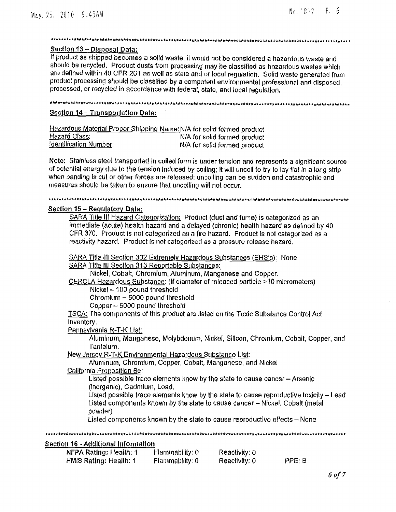# 

# Section 13 - Disposal Data:

If product as shipped becomes a solid waste, it would not be considered a hazardous waste and should be recycled. Product dusts from processing may be classified as hazardous wastes which are defined within 40 CFR 261 as well as state and or local regulation. Solid waste generated from product processing should be classified by a competent environmental professional and disposed, processed, or recycled in accordance with federal, state, and local regulation.

# 

# Section 14 - Transportation Data:

| Hazardous Material Proper Shipping Name: N/A for solid formed product |                              |
|-----------------------------------------------------------------------|------------------------------|
| <u>Hazard Class;</u>                                                  | N/A for solid formed product |
| <u>Identification Number</u> :                                        | N/A for solid formed product |

Note: Stainless steel transported in coiled form is under tension and represents a significant source of potential energy due to the tension induced by coiling; it will uncoil to try to lay flat in a long strip when banding is cut or other forces are released; uncolling can be sudden and catastrophic and measures should be taken to ensure that uncoiling will not occur.

#### 

# Section 15 - Requiatory Data:

HMIS Rating: Health: 1

SARA Title III Hazard Categorization: Product (dust and fume) is categorized as an immediate (acute) health hazard and a delayed (chronic) health hazard as defined by 40 CFR 370. Product is not categorized as a fire hazard. Product is not categorized as a reactivity hazard. Product is not categorized as a pressure release hazard.

SARA Title III Section 302 Extremely Hazardous Substances (EHS's): None SARA Title III Section 313 Reportable Substances: Nickel, Cobalt, Chromium, Aluminum, Manganese and Copper. CERCLA Hazardous Substance: (If diameter of released particle >10 micrometers) Nickel - 100 pound threshold Chromium - 5000 pound threshold Copper - 5000 pound threshold TSCA: The components of this product are listed on the Toxic Substance Control Act Inventory. Pennsylvania R-T-K List: Aluminum, Manganese, Molybdenum, Nickel, Silicon, Chromium, Cobalt, Copper, and Tantalum. New Jersey R-T-K Environmental Hazardous Substance List: Aluminum, Chromium, Copper, Cobalt, Manganese, and Nickel California Proposition 6e: Listed possible trace elements know by the state to cause cancer - Arsenic (inorganic), Cadmium, Lead. Listed possible trace elements know by the state to cause reproductive toxicity - Lead Listed components known by the state to cause cancer - Nickel, Cobalt (metal powder) Listed components known by the state to cause reproductive effects  $-$  None Section 16 - Additional Information NFPA Rating: Health: 1 Flammability: 0 Reactivity: 0

Reactivity: 0

Flammability: 0

PPE: B